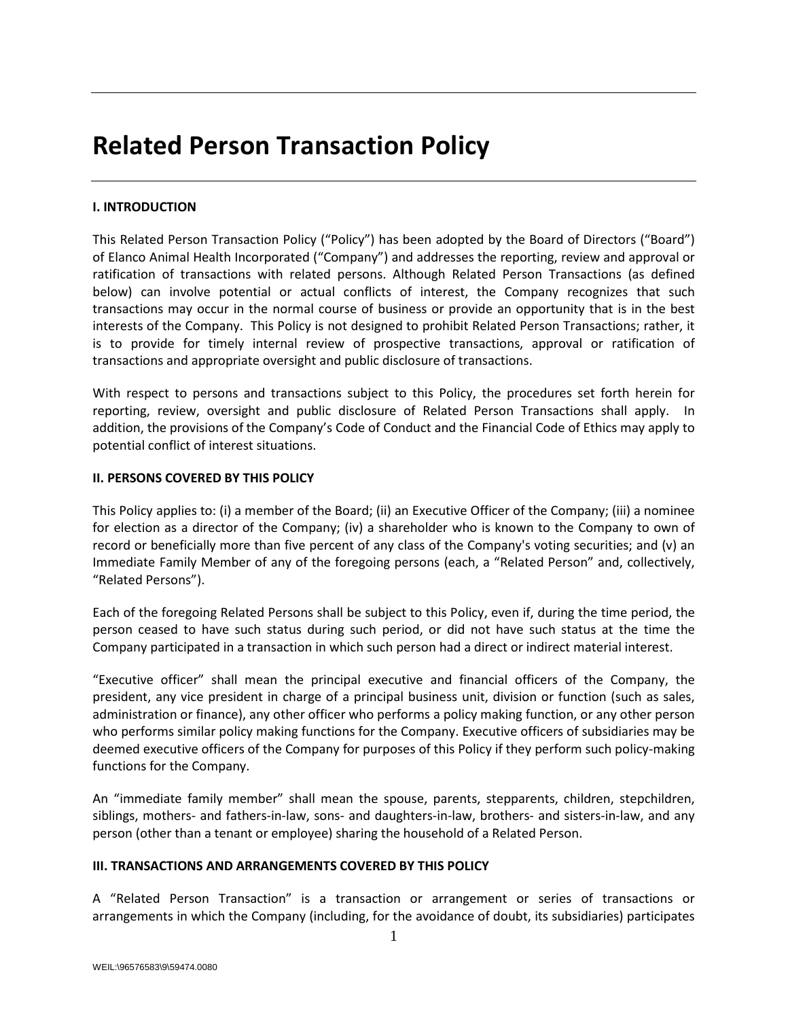# **Related Person Transaction Policy**

# **I. INTRODUCTION**

This Related Person Transaction Policy ("Policy") has been adopted by the Board of Directors ("Board") of Elanco Animal Health Incorporated ("Company") and addresses the reporting, review and approval or ratification of transactions with related persons. Although Related Person Transactions (as defined below) can involve potential or actual conflicts of interest, the Company recognizes that such transactions may occur in the normal course of business or provide an opportunity that is in the best interests of the Company. This Policy is not designed to prohibit Related Person Transactions; rather, it is to provide for timely internal review of prospective transactions, approval or ratification of transactions and appropriate oversight and public disclosure of transactions.

With respect to persons and transactions subject to this Policy, the procedures set forth herein for reporting, review, oversight and public disclosure of Related Person Transactions shall apply. In addition, the provisions of the Company's Code of Conduct and the Financial Code of Ethics may apply to potential conflict of interest situations.

# **II. PERSONS COVERED BY THIS POLICY**

This Policy applies to: (i) a member of the Board; (ii) an Executive Officer of the Company; (iii) a nominee for election as a director of the Company; (iv) a shareholder who is known to the Company to own of record or beneficially more than five percent of any class of the Company's voting securities; and (v) an Immediate Family Member of any of the foregoing persons (each, a "Related Person" and, collectively, "Related Persons").

Each of the foregoing Related Persons shall be subject to this Policy, even if, during the time period, the person ceased to have such status during such period, or did not have such status at the time the Company participated in a transaction in which such person had a direct or indirect material interest.

"Executive officer" shall mean the principal executive and financial officers of the Company, the president, any vice president in charge of a principal business unit, division or function (such as sales, administration or finance), any other officer who performs a policy making function, or any other person who performs similar policy making functions for the Company. Executive officers of subsidiaries may be deemed executive officers of the Company for purposes of this Policy if they perform such policy-making functions for the Company.

An "immediate family member" shall mean the spouse, parents, stepparents, children, stepchildren, siblings, mothers- and fathers-in-law, sons- and daughters-in-law, brothers- and sisters-in-law, and any person (other than a tenant or employee) sharing the household of a Related Person.

# **III. TRANSACTIONS AND ARRANGEMENTS COVERED BY THIS POLICY**

A "Related Person Transaction" is a transaction or arrangement or series of transactions or arrangements in which the Company (including, for the avoidance of doubt, its subsidiaries) participates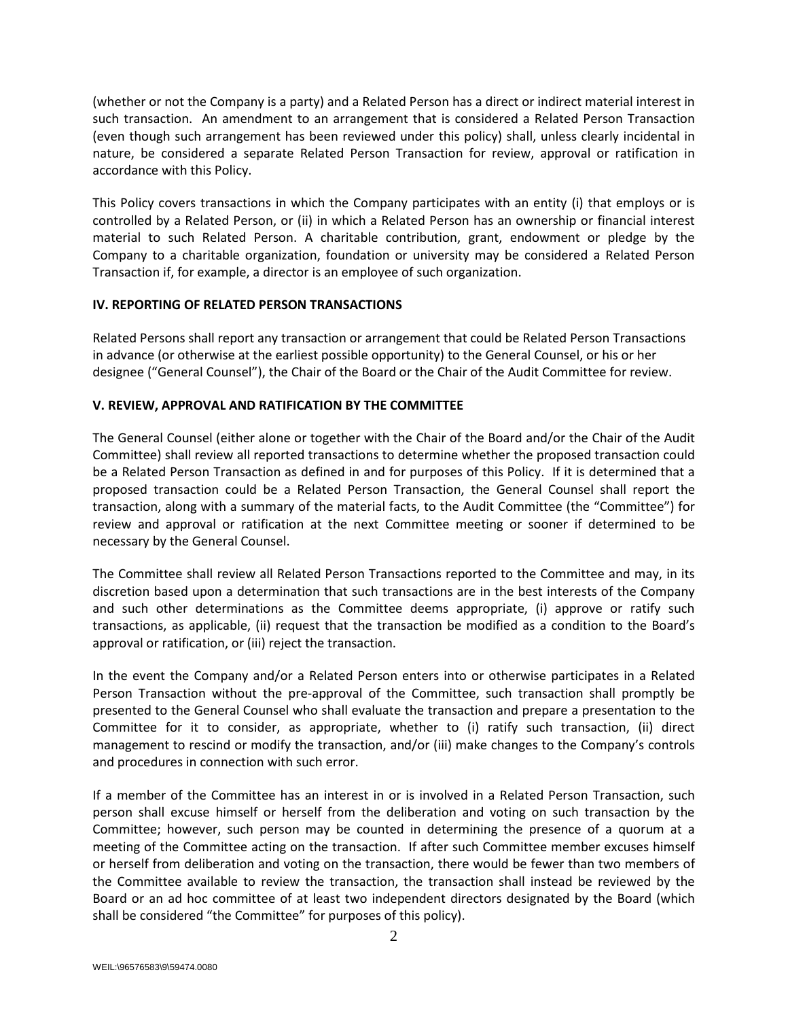(whether or not the Company is a party) and a Related Person has a direct or indirect material interest in such transaction. An amendment to an arrangement that is considered a Related Person Transaction (even though such arrangement has been reviewed under this policy) shall, unless clearly incidental in nature, be considered a separate Related Person Transaction for review, approval or ratification in accordance with this Policy.

This Policy covers transactions in which the Company participates with an entity (i) that employs or is controlled by a Related Person, or (ii) in which a Related Person has an ownership or financial interest material to such Related Person. A charitable contribution, grant, endowment or pledge by the Company to a charitable organization, foundation or university may be considered a Related Person Transaction if, for example, a director is an employee of such organization.

## **IV. REPORTING OF RELATED PERSON TRANSACTIONS**

Related Persons shall report any transaction or arrangement that could be Related Person Transactions in advance (or otherwise at the earliest possible opportunity) to the General Counsel, or his or her designee ("General Counsel"), the Chair of the Board or the Chair of the Audit Committee for review.

## **V. REVIEW, APPROVAL AND RATIFICATION BY THE COMMITTEE**

The General Counsel (either alone or together with the Chair of the Board and/or the Chair of the Audit Committee) shall review all reported transactions to determine whether the proposed transaction could be a Related Person Transaction as defined in and for purposes of this Policy. If it is determined that a proposed transaction could be a Related Person Transaction, the General Counsel shall report the transaction, along with a summary of the material facts, to the Audit Committee (the "Committee") for review and approval or ratification at the next Committee meeting or sooner if determined to be necessary by the General Counsel.

The Committee shall review all Related Person Transactions reported to the Committee and may, in its discretion based upon a determination that such transactions are in the best interests of the Company and such other determinations as the Committee deems appropriate, (i) approve or ratify such transactions, as applicable, (ii) request that the transaction be modified as a condition to the Board's approval or ratification, or (iii) reject the transaction.

In the event the Company and/or a Related Person enters into or otherwise participates in a Related Person Transaction without the pre-approval of the Committee, such transaction shall promptly be presented to the General Counsel who shall evaluate the transaction and prepare a presentation to the Committee for it to consider, as appropriate, whether to (i) ratify such transaction, (ii) direct management to rescind or modify the transaction, and/or (iii) make changes to the Company's controls and procedures in connection with such error.

If a member of the Committee has an interest in or is involved in a Related Person Transaction, such person shall excuse himself or herself from the deliberation and voting on such transaction by the Committee; however, such person may be counted in determining the presence of a quorum at a meeting of the Committee acting on the transaction. If after such Committee member excuses himself or herself from deliberation and voting on the transaction, there would be fewer than two members of the Committee available to review the transaction, the transaction shall instead be reviewed by the Board or an ad hoc committee of at least two independent directors designated by the Board (which shall be considered "the Committee" for purposes of this policy).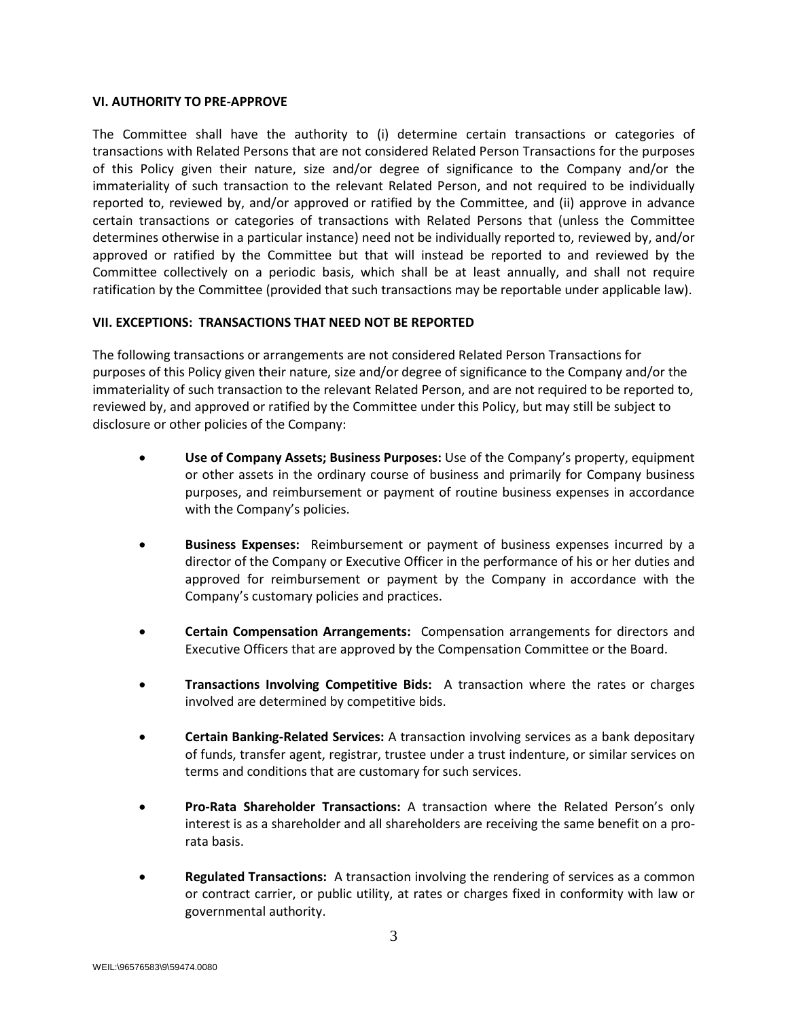#### **VI. AUTHORITY TO PRE-APPROVE**

The Committee shall have the authority to (i) determine certain transactions or categories of transactions with Related Persons that are not considered Related Person Transactions for the purposes of this Policy given their nature, size and/or degree of significance to the Company and/or the immateriality of such transaction to the relevant Related Person, and not required to be individually reported to, reviewed by, and/or approved or ratified by the Committee, and (ii) approve in advance certain transactions or categories of transactions with Related Persons that (unless the Committee determines otherwise in a particular instance) need not be individually reported to, reviewed by, and/or approved or ratified by the Committee but that will instead be reported to and reviewed by the Committee collectively on a periodic basis, which shall be at least annually, and shall not require ratification by the Committee (provided that such transactions may be reportable under applicable law).

# **VII. EXCEPTIONS: TRANSACTIONS THAT NEED NOT BE REPORTED**

The following transactions or arrangements are not considered Related Person Transactions for purposes of this Policy given their nature, size and/or degree of significance to the Company and/or the immateriality of such transaction to the relevant Related Person, and are not required to be reported to, reviewed by, and approved or ratified by the Committee under this Policy, but may still be subject to disclosure or other policies of the Company:

- **Use of Company Assets; Business Purposes:** Use of the Company's property, equipment or other assets in the ordinary course of business and primarily for Company business purposes, and reimbursement or payment of routine business expenses in accordance with the Company's policies.
- **Business Expenses:** Reimbursement or payment of business expenses incurred by a director of the Company or Executive Officer in the performance of his or her duties and approved for reimbursement or payment by the Company in accordance with the Company's customary policies and practices.
- **Certain Compensation Arrangements:** Compensation arrangements for directors and Executive Officers that are approved by the Compensation Committee or the Board.
- **Transactions Involving Competitive Bids:** A transaction where the rates or charges involved are determined by competitive bids.
- **Certain Banking-Related Services:** A transaction involving services as a bank depositary of funds, transfer agent, registrar, trustee under a trust indenture, or similar services on terms and conditions that are customary for such services.
- **Pro-Rata Shareholder Transactions:** A transaction where the Related Person's only interest is as a shareholder and all shareholders are receiving the same benefit on a prorata basis.
- **Regulated Transactions:** A transaction involving the rendering of services as a common or contract carrier, or public utility, at rates or charges fixed in conformity with law or governmental authority.

3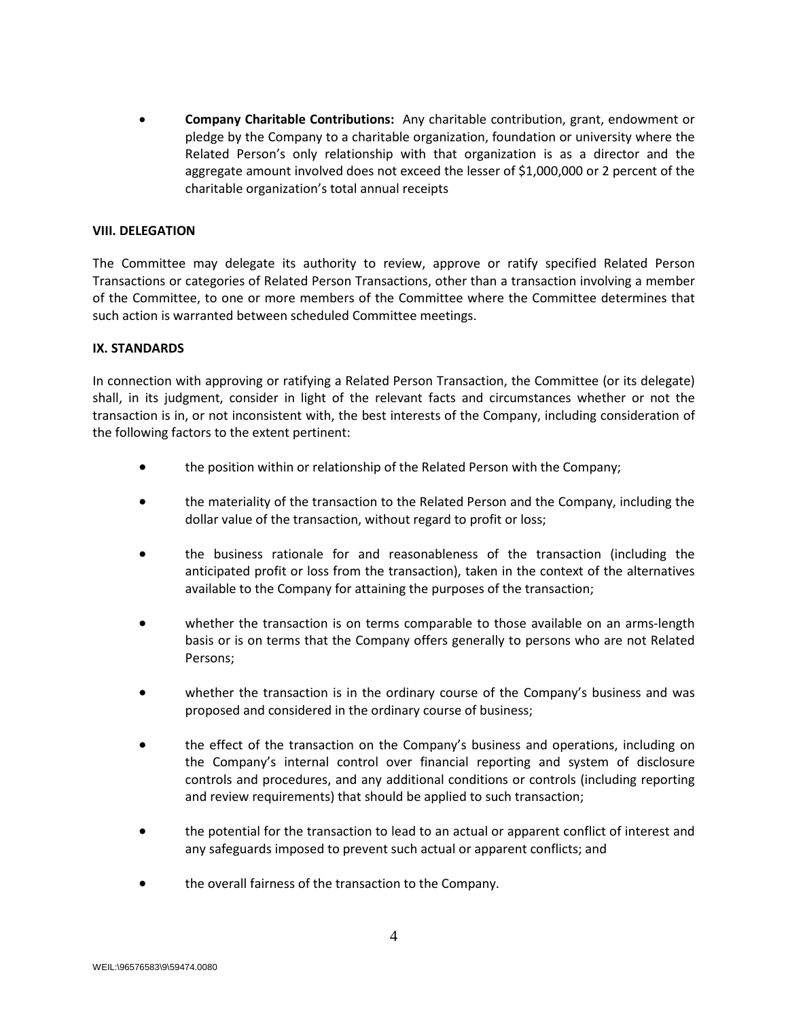• **Company Charitable Contributions:** Any charitable contribution, grant, endowment or pledge by the Company to a charitable organization, foundation or university where the Related Person's only relationship with that organization is as a director and the aggregate amount involved does not exceed the lesser of \$1,000,000 or 2 percent of the charitable organization's total annual receipts

## **VIII. DELEGATION**

The Committee may delegate its authority to review, approve or ratify specified Related Person Transactions or categories of Related Person Transactions, other than a transaction involving a member of the Committee, to one or more members of the Committee where the Committee determines that such action is warranted between scheduled Committee meetings.

## **IX. STANDARDS**

In connection with approving or ratifying a Related Person Transaction, the Committee (or its delegate) shall, in its judgment, consider in light of the relevant facts and circumstances whether or not the transaction is in, or not inconsistent with, the best interests of the Company, including consideration of the following factors to the extent pertinent:

- the position within or relationship of the Related Person with the Company;
- the materiality of the transaction to the Related Person and the Company, including the dollar value of the transaction, without regard to profit or loss;
- the business rationale for and reasonableness of the transaction (including the anticipated profit or loss from the transaction), taken in the context of the alternatives available to the Company for attaining the purposes of the transaction;
- whether the transaction is on terms comparable to those available on an arms-length basis or is on terms that the Company offers generally to persons who are not Related Persons;
- whether the transaction is in the ordinary course of the Company's business and was proposed and considered in the ordinary course of business;
- the effect of the transaction on the Company's business and operations, including on the Company's internal control over financial reporting and system of disclosure controls and procedures, and any additional conditions or controls (including reporting and review requirements) that should be applied to such transaction;
- the potential for the transaction to lead to an actual or apparent conflict of interest and any safeguards imposed to prevent such actual or apparent conflicts; and
- the overall fairness of the transaction to the Company.